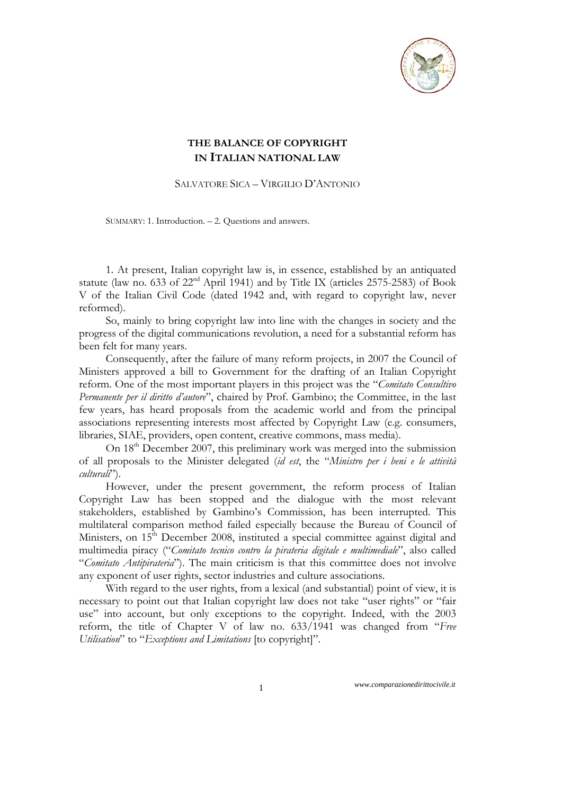

# **THE BALANCE OF COPYRIGHT IN ITALIAN NATIONAL LAW**

SALVATORE SICA – VIRGILIO D'ANTONIO

SUMMARY: 1. Introduction. – 2. Questions and answers.

1. At present, Italian copyright law is, in essence, established by an antiquated statute (law no. 633 of  $22<sup>nd</sup>$  April 1941) and by Title IX (articles 2575-2583) of Book V of the Italian Civil Code (dated 1942 and, with regard to copyright law, never reformed).

So, mainly to bring copyright law into line with the changes in society and the progress of the digital communications revolution, a need for a substantial reform has been felt for many years.

Consequently, after the failure of many reform projects, in 2007 the Council of Ministers approved a bill to Government for the drafting of an Italian Copyright reform. One of the most important players in this project was the "*Comitato Consultivo Permanente per il diritto d'autore*", chaired by Prof. Gambino; the Committee, in the last few years, has heard proposals from the academic world and from the principal associations representing interests most affected by Copyright Law (e.g. consumers, libraries, SIAE, providers, open content, creative commons, mass media).

On  $18<sup>th</sup>$  December 2007, this preliminary work was merged into the submission of all proposals to the Minister delegated (*id est*, the "*Ministro per i beni e le attività culturali*").

However, under the present government, the reform process of Italian Copyright Law has been stopped and the dialogue with the most relevant stakeholders, established by Gambino's Commission, has been interrupted. This multilateral comparison method failed especially because the Bureau of Council of Ministers, on  $15<sup>th</sup>$  December 2008, instituted a special committee against digital and multimedia piracy ("*Comitato tecnico contro la pirateria digitale e multimediale*", also called "*Comitato Antipirateria*"). The main criticism is that this committee does not involve any exponent of user rights, sector industries and culture associations.

With regard to the user rights, from a lexical (and substantial) point of view, it is necessary to point out that Italian copyright law does not take "user rights" or "fair use" into account, but only exceptions to the copyright. Indeed, with the 2003 reform, the title of Chapter V of law no. 633/1941 was changed from "*Free Utilisation*" to "*Exceptions and Limitations* [to copyright]".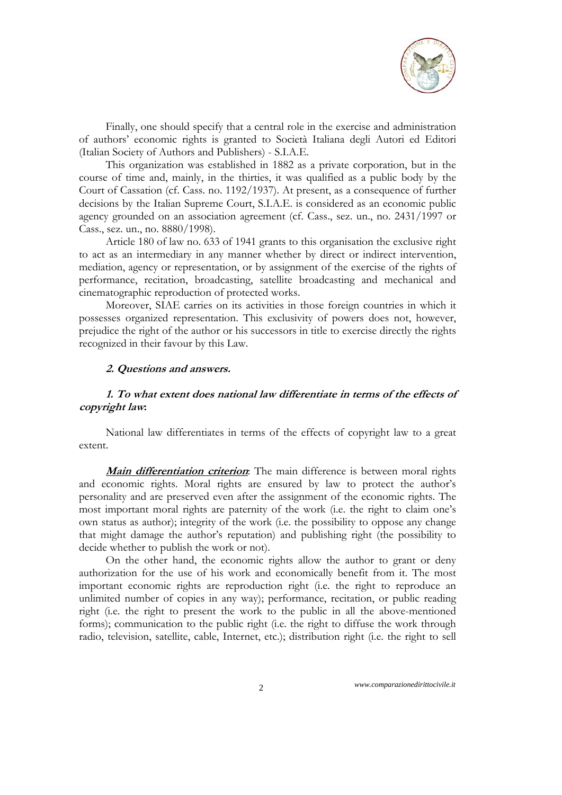

Finally, one should specify that a central role in the exercise and administration of authors' economic rights is granted to Società Italiana degli Autori ed Editori (Italian Society of Authors and Publishers) - S.I.A.E.

This organization was established in 1882 as a private corporation, but in the course of time and, mainly, in the thirties, it was qualified as a public body by the Court of Cassation (cf. Cass. no. 1192/1937). At present, as a consequence of further decisions by the Italian Supreme Court, S.I.A.E. is considered as an economic public agency grounded on an association agreement (cf. Cass., sez. un., no. 2431/1997 or Cass., sez. un., no. 8880/1998).

Article 180 of law no. 633 of 1941 grants to this organisation the exclusive right to act as an intermediary in any manner whether by direct or indirect intervention, mediation, agency or representation, or by assignment of the exercise of the rights of performance, recitation, broadcasting, satellite broadcasting and mechanical and cinematographic reproduction of protected works.

Moreover, SIAE carries on its activities in those foreign countries in which it possesses organized representation. This exclusivity of powers does not, however, prejudice the right of the author or his successors in title to exercise directly the rights recognized in their favour by this Law.

### **2. Questions and answers.**

# **1. To what extent does national law differentiate in terms of the effects of copyright law:**

National law differentiates in terms of the effects of copyright law to a great extent.

**Main differentiation criterion**: The main difference is between moral rights and economic rights. Moral rights are ensured by law to protect the author's personality and are preserved even after the assignment of the economic rights. The most important moral rights are paternity of the work (i.e. the right to claim one's own status as author); integrity of the work (i.e. the possibility to oppose any change that might damage the author's reputation) and publishing right (the possibility to decide whether to publish the work or not).

On the other hand, the economic rights allow the author to grant or deny authorization for the use of his work and economically benefit from it. The most important economic rights are reproduction right (i.e. the right to reproduce an unlimited number of copies in any way); performance, recitation, or public reading right (i.e. the right to present the work to the public in all the above-mentioned forms); communication to the public right (i.e. the right to diffuse the work through radio, television, satellite, cable, Internet, etc.); distribution right (i.e. the right to sell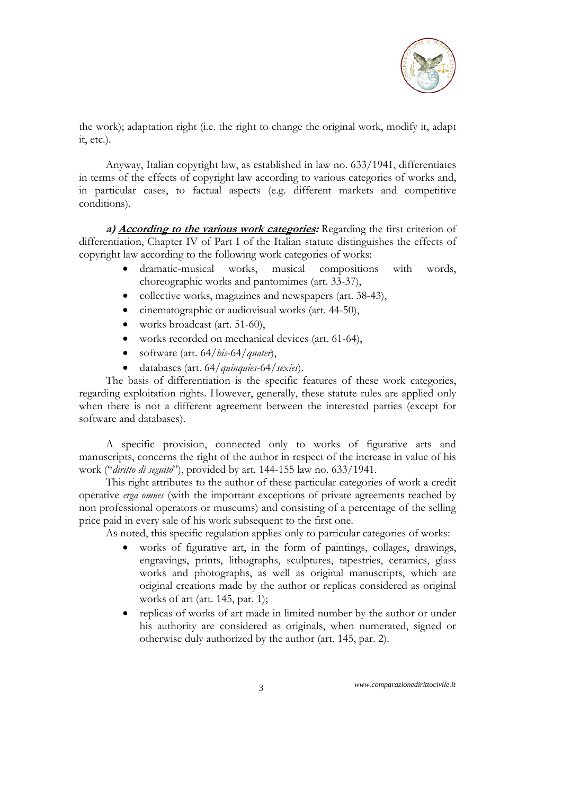

the work); adaptation right (i.e. the right to change the original work, modify it, adapt it, etc.).

Anyway, Italian copyright law, as established in law no. 633/1941, differentiates in terms of the effects of copyright law according to various categories of works and, in particular cases, to factual aspects (e.g. different markets and competitive conditions).

**a) According to the various work categories:** Regarding the first criterion of differentiation, Chapter IV of Part I of the Italian statute distinguishes the effects of copyright law according to the following work categories of works:

- dramatic-musical works, musical compositions with words, choreographic works and pantomimes (art. 33-37),
- collective works, magazines and newspapers (art. 38-43),
- cinematographic or audiovisual works (art. 44-50),
- works broadcast (art. 51-60),
- works recorded on mechanical devices (art. 61-64),
- software (art. 64/*bis*-64/*quater*),
- databases (art. 64/*quinquies*-64/*sexies*).

The basis of differentiation is the specific features of these work categories, regarding exploitation rights. However, generally, these statute rules are applied only when there is not a different agreement between the interested parties (except for software and databases).

A specific provision, connected only to works of figurative arts and manuscripts, concerns the right of the author in respect of the increase in value of his work ("*diritto di seguito*"), provided by art. 144-155 law no. 633/1941.

This right attributes to the author of these particular categories of work a credit operative *erga omnes* (with the important exceptions of private agreements reached by non professional operators or museums) and consisting of a percentage of the selling price paid in every sale of his work subsequent to the first one.

As noted, this specific regulation applies only to particular categories of works:

- works of figurative art, in the form of paintings, collages, drawings, engravings, prints, lithographs, sculptures, tapestries, ceramics, glass works and photographs, as well as original manuscripts, which are original creations made by the author or replicas considered as original works of art (art. 145, par. 1);
- replicas of works of art made in limited number by the author or under his authority are considered as originals, when numerated, signed or otherwise duly authorized by the author (art. 145, par. 2).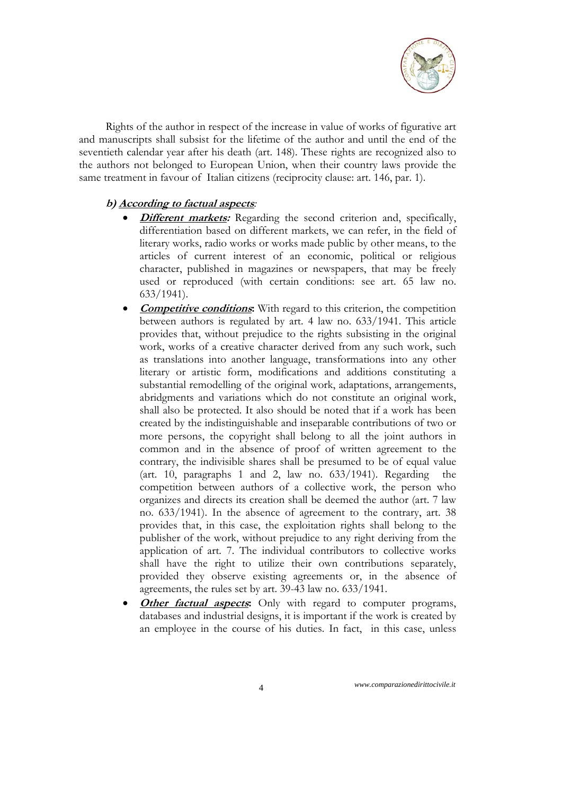

Rights of the author in respect of the increase in value of works of figurative art and manuscripts shall subsist for the lifetime of the author and until the end of the seventieth calendar year after his death (art. 148). These rights are recognized also to the authors not belonged to European Union, when their country laws provide the same treatment in favour of Italian citizens (reciprocity clause: art. 146, par. 1).

# **b) According to factual aspects***:*

- **Different markets:** Regarding the second criterion and, specifically, differentiation based on different markets, we can refer, in the field of literary works, radio works or works made public by other means, to the articles of current interest of an economic, political or religious character, published in magazines or newspapers, that may be freely used or reproduced (with certain conditions: see art. 65 law no. 633/1941).
- **Competitive conditions:** With regard to this criterion, the competition between authors is regulated by art. 4 law no. 633/1941. This article provides that, without prejudice to the rights subsisting in the original work, works of a creative character derived from any such work, such as translations into another language, transformations into any other literary or artistic form, modifications and additions constituting a substantial remodelling of the original work, adaptations, arrangements, abridgments and variations which do not constitute an original work, shall also be protected. It also should be noted that if a work has been created by the indistinguishable and inseparable contributions of two or more persons, the copyright shall belong to all the joint authors in common and in the absence of proof of written agreement to the contrary, the indivisible shares shall be presumed to be of equal value (art. 10, paragraphs 1 and 2, law no. 633/1941). Regarding the competition between authors of a collective work, the person who organizes and directs its creation shall be deemed the author (art. 7 law no. 633/1941). In the absence of agreement to the contrary, art. 38 provides that, in this case, the exploitation rights shall belong to the publisher of the work, without prejudice to any right deriving from the application of art. 7. The individual contributors to collective works shall have the right to utilize their own contributions separately, provided they observe existing agreements or, in the absence of agreements, the rules set by art. 39-43 law no. 633/1941.
- **Other factual aspects:** Only with regard to computer programs, databases and industrial designs, it is important if the work is created by an employee in the course of his duties. In fact, in this case, unless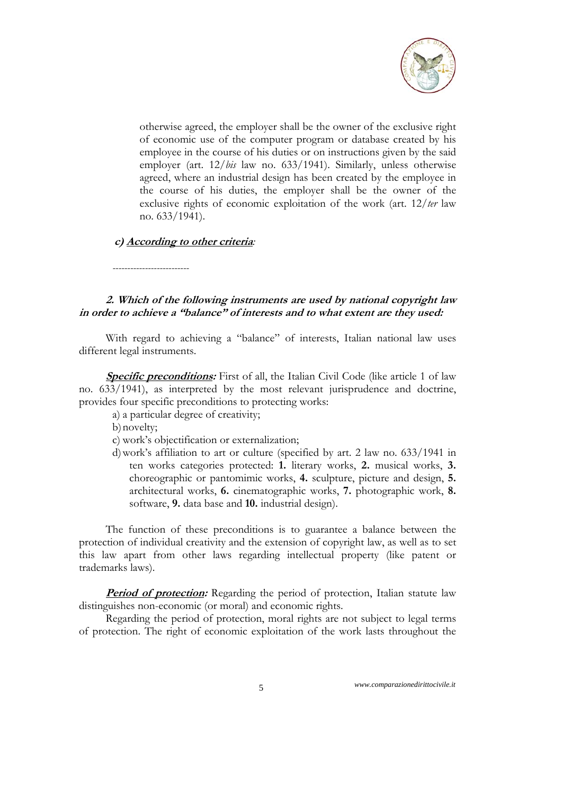

otherwise agreed, the employer shall be the owner of the exclusive right of economic use of the computer program or database created by his employee in the course of his duties or on instructions given by the said employer (art. 12/*bis* law no. 633/1941). Similarly, unless otherwise agreed, where an industrial design has been created by the employee in the course of his duties, the employer shall be the owner of the exclusive rights of economic exploitation of the work (art. 12/*ter* law no. 633/1941).

# **c) According to other criteria***:*

*--------------------------* 

**2. Which of the following instruments are used by national copyright law in order to achieve a "balance" of interests and to what extent are they used:** 

With regard to achieving a "balance" of interests, Italian national law uses different legal instruments.

**Specific preconditions:** First of all, the Italian Civil Code (like article 1 of law no. 633/1941), as interpreted by the most relevant jurisprudence and doctrine, provides four specific preconditions to protecting works:

- a) a particular degree of creativity;
- b)novelty;
- c) work's objectification or externalization;
- d)work's affiliation to art or culture (specified by art. 2 law no. 633/1941 in ten works categories protected: **1.** literary works, **2.** musical works, **3.** choreographic or pantomimic works, **4.** sculpture, picture and design, **5.** architectural works, **6.** cinematographic works, **7.** photographic work, **8.** software, **9.** data base and **10.** industrial design).

The function of these preconditions is to guarantee a balance between the protection of individual creativity and the extension of copyright law, as well as to set this law apart from other laws regarding intellectual property (like patent or trademarks laws).

**Period of protection:** Regarding the period of protection, Italian statute law distinguishes non-economic (or moral) and economic rights.

Regarding the period of protection, moral rights are not subject to legal terms of protection. The right of economic exploitation of the work lasts throughout the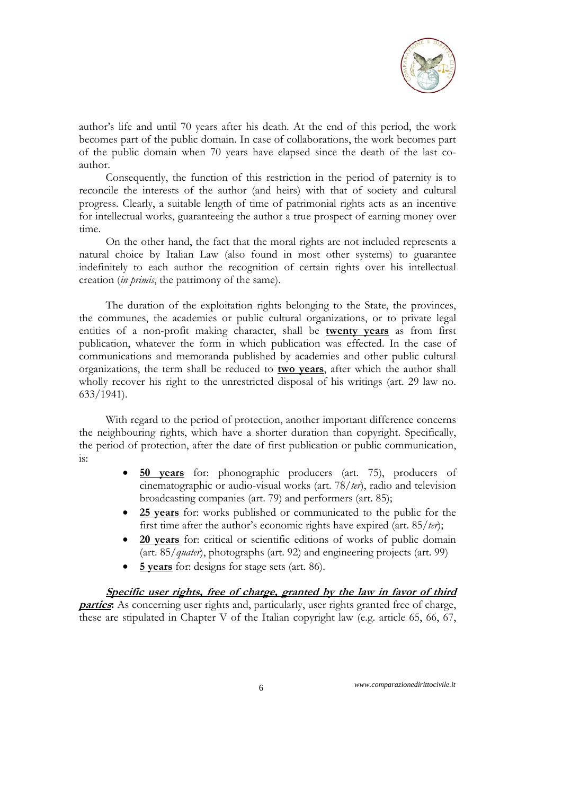

author's life and until 70 years after his death. At the end of this period, the work becomes part of the public domain. In case of collaborations, the work becomes part of the public domain when 70 years have elapsed since the death of the last coauthor.

Consequently, the function of this restriction in the period of paternity is to reconcile the interests of the author (and heirs) with that of society and cultural progress. Clearly, a suitable length of time of patrimonial rights acts as an incentive for intellectual works, guaranteeing the author a true prospect of earning money over time.

On the other hand, the fact that the moral rights are not included represents a natural choice by Italian Law (also found in most other systems) to guarantee indefinitely to each author the recognition of certain rights over his intellectual creation (*in primis*, the patrimony of the same).

The duration of the exploitation rights belonging to the State, the provinces, the communes, the academies or public cultural organizations, or to private legal entities of a non-profit making character, shall be **twenty years** as from first publication, whatever the form in which publication was effected. In the case of communications and memoranda published by academies and other public cultural organizations, the term shall be reduced to **two years**, after which the author shall wholly recover his right to the unrestricted disposal of his writings (art. 29 law no. 633/1941).

With regard to the period of protection, another important difference concerns the neighbouring rights, which have a shorter duration than copyright. Specifically, the period of protection, after the date of first publication or public communication, is:

- **50 years** for: phonographic producers (art. 75), producers of cinematographic or audio-visual works (art. 78/*ter*), radio and television broadcasting companies (art. 79) and performers (art. 85);
- **25 years** for: works published or communicated to the public for the first time after the author's economic rights have expired (art. 85/*ter*);
- **20 years** for: critical or scientific editions of works of public domain (art. 85/*quater*), photographs (art. 92) and engineering projects (art. 99)
- **5 years** for: designs for stage sets (art. 86).

**Specific user rights, free of charge, granted by the law in favor of third parties:** As concerning user rights and, particularly, user rights granted free of charge, these are stipulated in Chapter V of the Italian copyright law (e.g. article 65, 66, 67,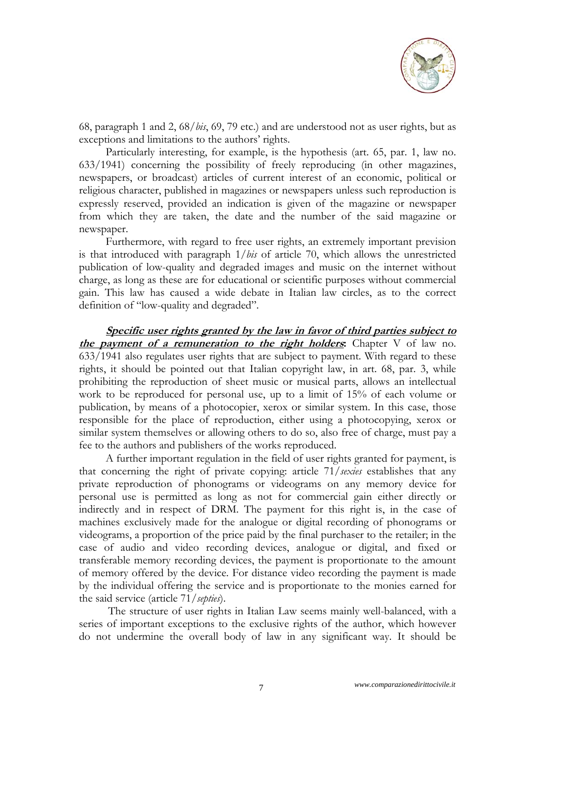

68, paragraph 1 and 2, 68/*bis*, 69, 79 etc.) and are understood not as user rights, but as exceptions and limitations to the authors' rights.

Particularly interesting, for example, is the hypothesis (art. 65, par. 1, law no. 633/1941) concerning the possibility of freely reproducing (in other magazines, newspapers, or broadcast) articles of current interest of an economic, political or religious character, published in magazines or newspapers unless such reproduction is expressly reserved, provided an indication is given of the magazine or newspaper from which they are taken, the date and the number of the said magazine or newspaper.

Furthermore, with regard to free user rights, an extremely important prevision is that introduced with paragraph 1/*bis* of article 70, which allows the unrestricted publication of low-quality and degraded images and music on the internet without charge, as long as these are for educational or scientific purposes without commercial gain. This law has caused a wide debate in Italian law circles, as to the correct definition of "low-quality and degraded".

**Specific user rights granted by the law in favor of third parties subject to the payment of a remuneration to the right holders:** Chapter V of law no. 633/1941 also regulates user rights that are subject to payment. With regard to these rights, it should be pointed out that Italian copyright law, in art. 68, par. 3, while prohibiting the reproduction of sheet music or musical parts, allows an intellectual work to be reproduced for personal use, up to a limit of 15% of each volume or publication, by means of a photocopier, xerox or similar system. In this case, those responsible for the place of reproduction, either using a photocopying, xerox or similar system themselves or allowing others to do so, also free of charge, must pay a fee to the authors and publishers of the works reproduced.

A further important regulation in the field of user rights granted for payment, is that concerning the right of private copying: article 71/*sexies* establishes that any private reproduction of phonograms or videograms on any memory device for personal use is permitted as long as not for commercial gain either directly or indirectly and in respect of DRM. The payment for this right is, in the case of machines exclusively made for the analogue or digital recording of phonograms or videograms, a proportion of the price paid by the final purchaser to the retailer; in the case of audio and video recording devices, analogue or digital, and fixed or transferable memory recording devices, the payment is proportionate to the amount of memory offered by the device. For distance video recording the payment is made by the individual offering the service and is proportionate to the monies earned for the said service (article 71/*septies*).

The structure of user rights in Italian Law seems mainly well-balanced, with a series of important exceptions to the exclusive rights of the author, which however do not undermine the overall body of law in any significant way. It should be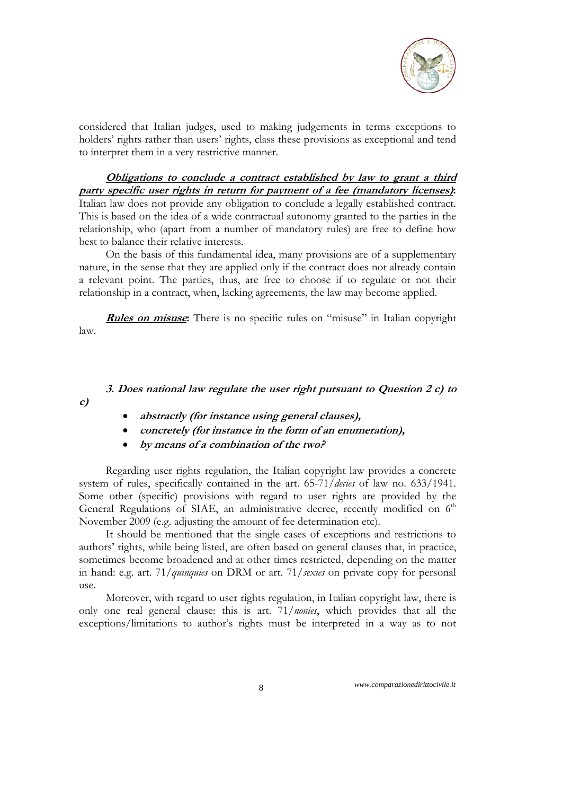

considered that Italian judges, used to making judgements in terms exceptions to holders' rights rather than users' rights, class these provisions as exceptional and tend to interpret them in a very restrictive manner.

# **Obligations to conclude a contract established by law to grant a third party specific user rights in return for payment of a fee (mandatory licenses):**

Italian law does not provide any obligation to conclude a legally established contract. This is based on the idea of a wide contractual autonomy granted to the parties in the relationship, who (apart from a number of mandatory rules) are free to define how best to balance their relative interests.

On the basis of this fundamental idea, many provisions are of a supplementary nature, in the sense that they are applied only if the contract does not already contain a relevant point. The parties, thus, are free to choose if to regulate or not their relationship in a contract, when, lacking agreements, the law may become applied.

**Rules on misuse:** There is no specific rules on "misuse" in Italian copyright law.

# **3. Does national law regulate the user right pursuant to Question 2 c) to**

**e)** 

- **abstractly (for instance using general clauses),**
- **concretely (for instance in the form of an enumeration),**
- **by means of a combination of the two?**

Regarding user rights regulation, the Italian copyright law provides a concrete system of rules, specifically contained in the art. 65-71/*decies* of law no. 633/1941. Some other (specific) provisions with regard to user rights are provided by the General Regulations of SIAE, an administrative decree, recently modified on 6<sup>th</sup> November 2009 (e.g. adjusting the amount of fee determination etc).

It should be mentioned that the single cases of exceptions and restrictions to authors' rights, while being listed, are often based on general clauses that, in practice, sometimes become broadened and at other times restricted, depending on the matter in hand: e.g. art. 71/*quinquies* on DRM or art. 71/*sexies* on private copy for personal use.

Moreover, with regard to user rights regulation, in Italian copyright law, there is only one real general clause: this is art. 71/*nonies*, which provides that all the exceptions/limitations to author's rights must be interpreted in a way as to not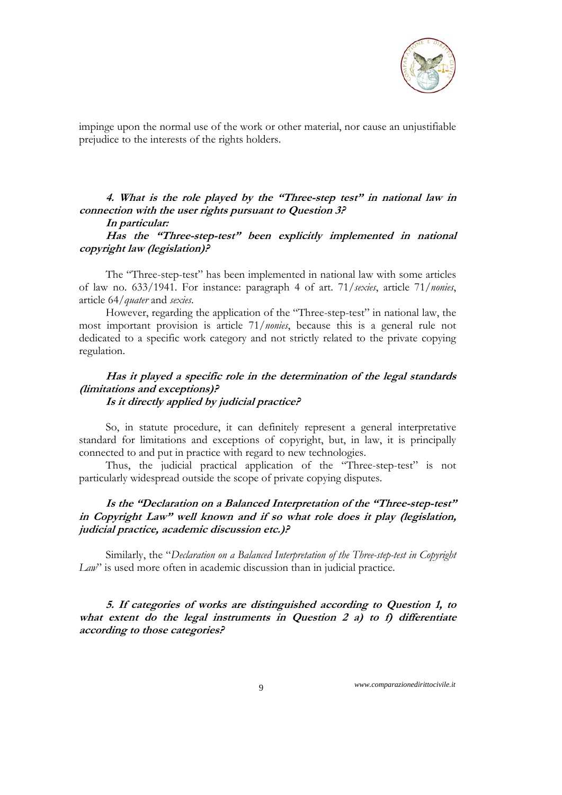

impinge upon the normal use of the work or other material, nor cause an unjustifiable prejudice to the interests of the rights holders.

**4. What is the role played by the "Three-step test" in national law in connection with the user rights pursuant to Question 3?** 

# **In particular:**

**Has the "Three-step-test" been explicitly implemented in national copyright law (legislation)?** 

The "Three-step-test" has been implemented in national law with some articles of law no. 633/1941. For instance: paragraph 4 of art. 71/*sexies*, article 71/*nonies*, article 64/*quater* and *sexies*.

However, regarding the application of the "Three-step-test" in national law, the most important provision is article 71/*nonies*, because this is a general rule not dedicated to a specific work category and not strictly related to the private copying regulation.

### **Has it played a specific role in the determination of the legal standards (limitations and exceptions)? Is it directly applied by judicial practice?**

So, in statute procedure, it can definitely represent a general interpretative standard for limitations and exceptions of copyright, but, in law, it is principally connected to and put in practice with regard to new technologies.

Thus, the judicial practical application of the "Three-step-test" is not particularly widespread outside the scope of private copying disputes.

# **Is the "Declaration on a Balanced Interpretation of the "Three-step-test" in Copyright Law" well known and if so what role does it play (legislation, judicial practice, academic discussion etc.)?**

Similarly, the "*Declaration on a Balanced Interpretation of the Three-step-test in Copyright Law*" is used more often in academic discussion than in judicial practice.

**5. If categories of works are distinguished according to Question 1, to what extent do the legal instruments in Question 2 a) to f) differentiate according to those categories?**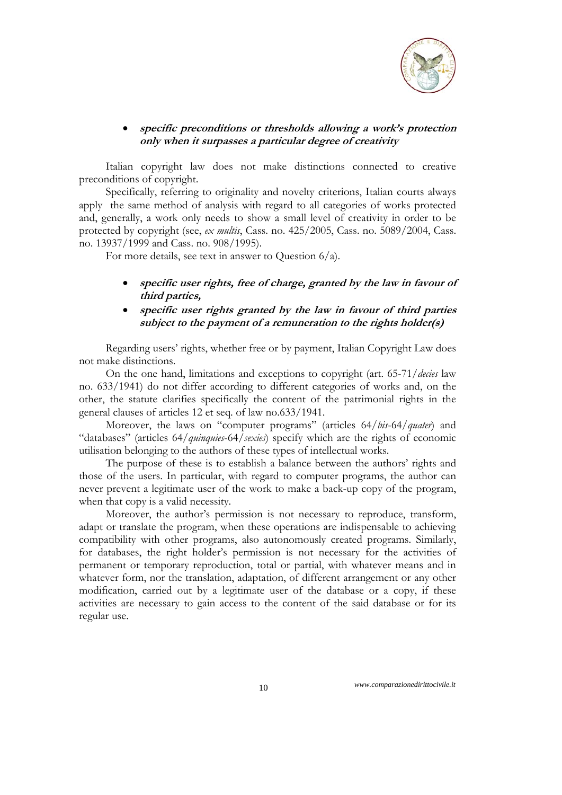

# **specific preconditions or thresholds allowing a work's protection only when it surpasses a particular degree of creativity**

Italian copyright law does not make distinctions connected to creative preconditions of copyright.

Specifically, referring to originality and novelty criterions, Italian courts always apply the same method of analysis with regard to all categories of works protected and, generally, a work only needs to show a small level of creativity in order to be protected by copyright (see, *ex multis*, Cass. no. 425/2005, Cass. no. 5089/2004, Cass. no. 13937/1999 and Cass. no. 908/1995).

For more details, see text in answer to Question 6/a).

- **specific user rights, free of charge, granted by the law in favour of third parties,**
- **specific user rights granted by the law in favour of third parties subject to the payment of a remuneration to the rights holder(s)**

Regarding users' rights, whether free or by payment, Italian Copyright Law does not make distinctions.

On the one hand, limitations and exceptions to copyright (art. 65-71/*decies* law no. 633/1941) do not differ according to different categories of works and, on the other, the statute clarifies specifically the content of the patrimonial rights in the general clauses of articles 12 et seq. of law no.633/1941.

Moreover, the laws on "computer programs" (articles 64/*bis*-64/*quater*) and "databases" (articles 64/*quinquies*-64/*sexies*) specify which are the rights of economic utilisation belonging to the authors of these types of intellectual works.

The purpose of these is to establish a balance between the authors' rights and those of the users. In particular, with regard to computer programs, the author can never prevent a legitimate user of the work to make a back-up copy of the program, when that copy is a valid necessity.

Moreover, the author's permission is not necessary to reproduce, transform, adapt or translate the program, when these operations are indispensable to achieving compatibility with other programs, also autonomously created programs. Similarly, for databases, the right holder's permission is not necessary for the activities of permanent or temporary reproduction, total or partial, with whatever means and in whatever form, nor the translation, adaptation, of different arrangement or any other modification, carried out by a legitimate user of the database or a copy, if these activities are necessary to gain access to the content of the said database or for its regular use.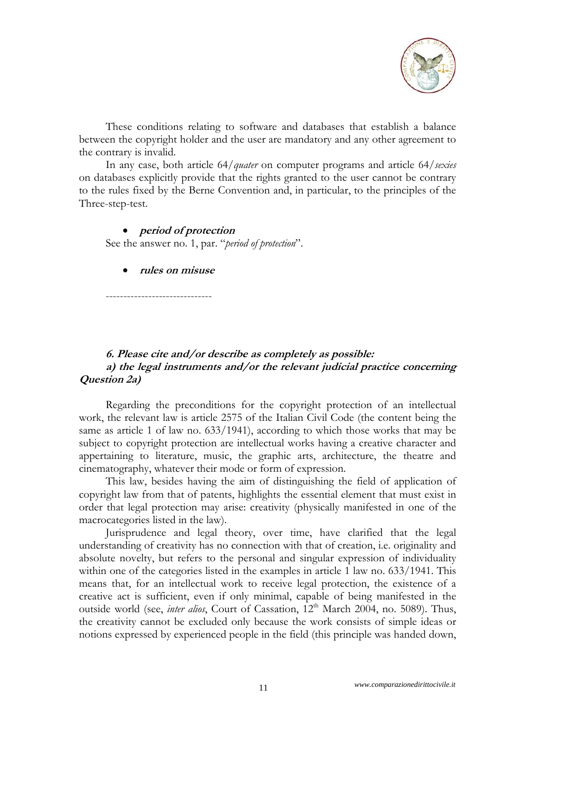

These conditions relating to software and databases that establish a balance between the copyright holder and the user are mandatory and any other agreement to the contrary is invalid.

In any case, both article 64/*quater* on computer programs and article 64/*sexies* on databases explicitly provide that the rights granted to the user cannot be contrary to the rules fixed by the Berne Convention and, in particular, to the principles of the Three-step-test.

#### **period of protection**

See the answer no. 1, par. "*period of protection*".

**rules on misuse** 

------------------------------

# **6. Please cite and/or describe as completely as possible: a) the legal instruments and/or the relevant judicial practice concerning Question 2a)**

Regarding the preconditions for the copyright protection of an intellectual work, the relevant law is article 2575 of the Italian Civil Code (the content being the same as article 1 of law no. 633/1941), according to which those works that may be subject to copyright protection are intellectual works having a creative character and appertaining to literature, music, the graphic arts, architecture, the theatre and cinematography, whatever their mode or form of expression.

This law, besides having the aim of distinguishing the field of application of copyright law from that of patents, highlights the essential element that must exist in order that legal protection may arise: creativity (physically manifested in one of the macrocategories listed in the law).

Jurisprudence and legal theory, over time, have clarified that the legal understanding of creativity has no connection with that of creation, i.e. originality and absolute novelty, but refers to the personal and singular expression of individuality within one of the categories listed in the examples in article 1 law no. 633/1941. This means that, for an intellectual work to receive legal protection, the existence of a creative act is sufficient, even if only minimal, capable of being manifested in the outside world (see, *inter alios*, Court of Cassation, 12<sup>th</sup> March 2004, no. 5089). Thus, the creativity cannot be excluded only because the work consists of simple ideas or notions expressed by experienced people in the field (this principle was handed down,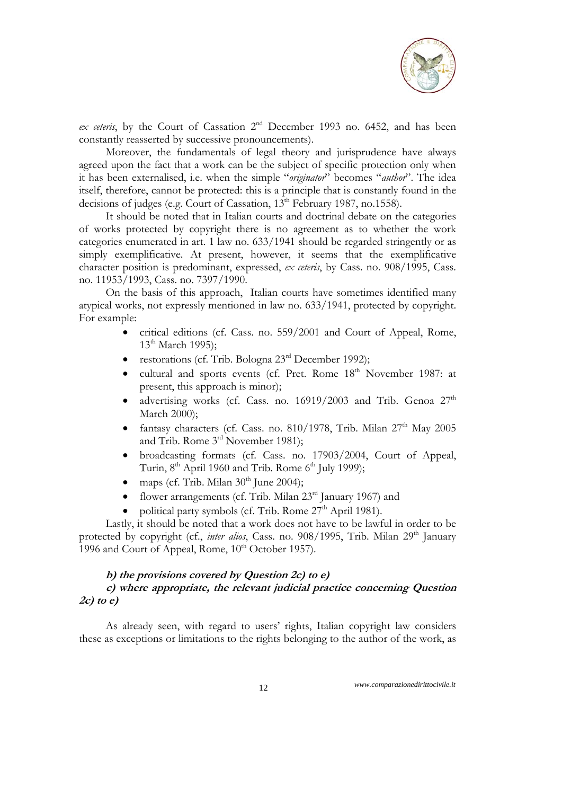

*ex ceteris*, by the Court of Cassation 2nd December 1993 no. 6452, and has been constantly reasserted by successive pronouncements).

Moreover, the fundamentals of legal theory and jurisprudence have always agreed upon the fact that a work can be the subject of specific protection only when it has been externalised, i.e. when the simple "*originator*" becomes "*author*". The idea itself, therefore, cannot be protected: this is a principle that is constantly found in the decisions of judges (e.g. Court of Cassation, 13<sup>th</sup> February 1987, no.1558).

It should be noted that in Italian courts and doctrinal debate on the categories of works protected by copyright there is no agreement as to whether the work categories enumerated in art. 1 law no. 633/1941 should be regarded stringently or as simply exemplificative. At present, however, it seems that the exemplificative character position is predominant, expressed, *ex ceteris*, by Cass. no. 908/1995, Cass. no. 11953/1993, Cass. no. 7397/1990.

On the basis of this approach, Italian courts have sometimes identified many atypical works, not expressly mentioned in law no. 633/1941, protected by copyright. For example:

- critical editions (cf. Cass. no. 559/2001 and Court of Appeal, Rome,  $13<sup>th</sup>$  March 1995);
- restorations (cf. Trib. Bologna 23rd December 1992);
- cultural and sports events (cf. Pret. Rome 18<sup>th</sup> November 1987: at present, this approach is minor);
- advertising works (cf. Cass. no. 16919/2003 and Trib. Genoa  $27<sup>th</sup>$ March 2000);
- fantasy characters (cf. Cass. no. 810/1978, Trib. Milan  $27<sup>th</sup>$  May 2005 and Trib. Rome 3rd November 1981);
- broadcasting formats (cf. Cass. no. 17903/2004, Court of Appeal, Turin,  $8<sup>th</sup>$  April 1960 and Trib. Rome  $6<sup>th</sup>$  July 1999);
- maps (cf. Trib. Milan 30<sup>th</sup> June 2004);
- flower arrangements (cf. Trib. Milan  $23<sup>rd</sup>$  January 1967) and
- political party symbols (cf. Trib. Rome  $27<sup>th</sup>$  April 1981).

Lastly, it should be noted that a work does not have to be lawful in order to be protected by copyright (cf., *inter alios*, Cass. no. 908/1995, Trib. Milan 29<sup>th</sup> January 1996 and Court of Appeal, Rome,  $10^{th}$  October 1957).

### **b) the provisions covered by Question 2c) to e)**

# **c) where appropriate, the relevant judicial practice concerning Question 2c) to e)**

As already seen, with regard to users' rights, Italian copyright law considers these as exceptions or limitations to the rights belonging to the author of the work, as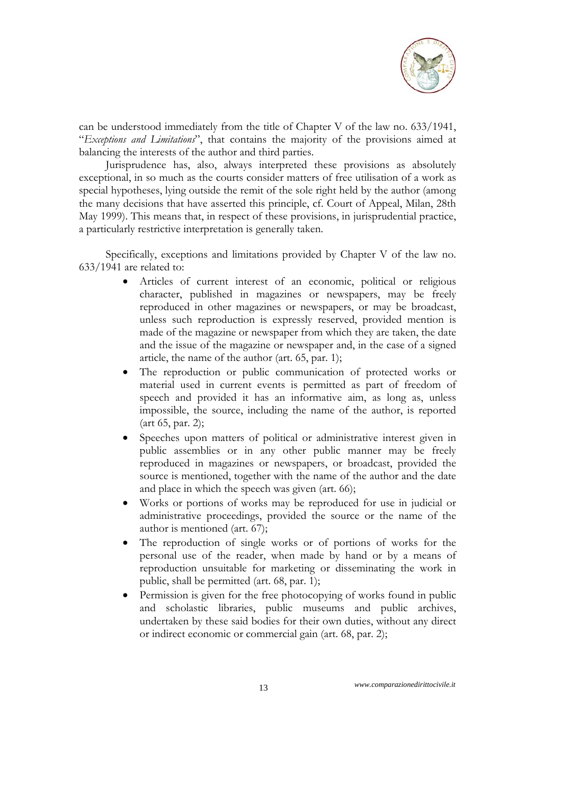

can be understood immediately from the title of Chapter V of the law no. 633/1941, "*Exceptions and Limitations*", that contains the majority of the provisions aimed at balancing the interests of the author and third parties.

Jurisprudence has, also, always interpreted these provisions as absolutely exceptional, in so much as the courts consider matters of free utilisation of a work as special hypotheses, lying outside the remit of the sole right held by the author (among the many decisions that have asserted this principle, cf. Court of Appeal, Milan, 28th May 1999). This means that, in respect of these provisions, in jurisprudential practice, a particularly restrictive interpretation is generally taken.

Specifically, exceptions and limitations provided by Chapter V of the law no. 633/1941 are related to:

- Articles of current interest of an economic, political or religious character, published in magazines or newspapers, may be freely reproduced in other magazines or newspapers, or may be broadcast, unless such reproduction is expressly reserved, provided mention is made of the magazine or newspaper from which they are taken, the date and the issue of the magazine or newspaper and, in the case of a signed article, the name of the author (art. 65, par. 1);
- The reproduction or public communication of protected works or material used in current events is permitted as part of freedom of speech and provided it has an informative aim, as long as, unless impossible, the source, including the name of the author, is reported (art 65, par. 2);
- Speeches upon matters of political or administrative interest given in public assemblies or in any other public manner may be freely reproduced in magazines or newspapers, or broadcast, provided the source is mentioned, together with the name of the author and the date and place in which the speech was given (art. 66);
- Works or portions of works may be reproduced for use in judicial or administrative proceedings, provided the source or the name of the author is mentioned (art. 67);
- The reproduction of single works or of portions of works for the personal use of the reader, when made by hand or by a means of reproduction unsuitable for marketing or disseminating the work in public, shall be permitted (art. 68, par. 1);
- Permission is given for the free photocopying of works found in public and scholastic libraries, public museums and public archives, undertaken by these said bodies for their own duties, without any direct or indirect economic or commercial gain (art. 68, par. 2);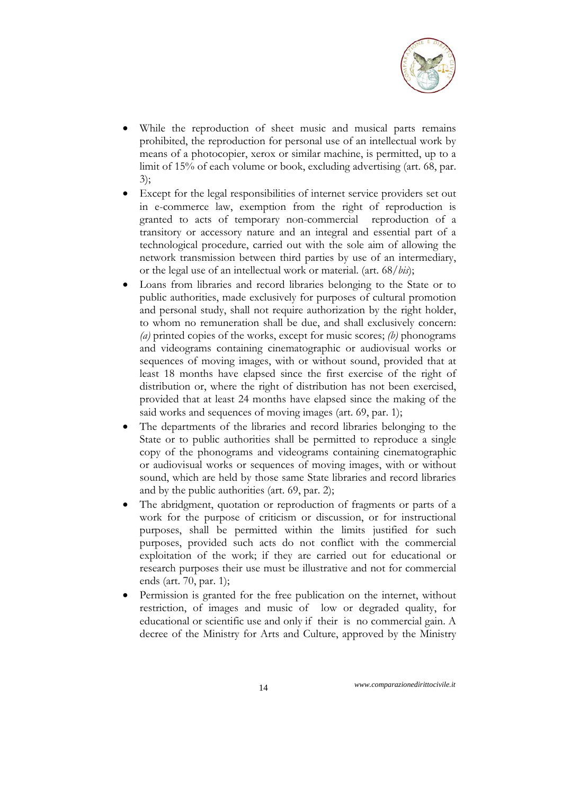

- While the reproduction of sheet music and musical parts remains prohibited, the reproduction for personal use of an intellectual work by means of a photocopier, xerox or similar machine, is permitted, up to a limit of 15% of each volume or book, excluding advertising (art. 68, par. 3);
- Except for the legal responsibilities of internet service providers set out in e-commerce law, exemption from the right of reproduction is granted to acts of temporary non-commercial reproduction of a transitory or accessory nature and an integral and essential part of a technological procedure, carried out with the sole aim of allowing the network transmission between third parties by use of an intermediary, or the legal use of an intellectual work or material. (art. 68/*bis*);
- Loans from libraries and record libraries belonging to the State or to public authorities, made exclusively for purposes of cultural promotion and personal study, shall not require authorization by the right holder, to whom no remuneration shall be due, and shall exclusively concern: *(a)* printed copies of the works, except for music scores; *(b)* phonograms and videograms containing cinematographic or audiovisual works or sequences of moving images, with or without sound, provided that at least 18 months have elapsed since the first exercise of the right of distribution or, where the right of distribution has not been exercised, provided that at least 24 months have elapsed since the making of the said works and sequences of moving images (art. 69, par. 1);
- The departments of the libraries and record libraries belonging to the State or to public authorities shall be permitted to reproduce a single copy of the phonograms and videograms containing cinematographic or audiovisual works or sequences of moving images, with or without sound, which are held by those same State libraries and record libraries and by the public authorities (art. 69, par. 2);
- The abridgment, quotation or reproduction of fragments or parts of a work for the purpose of criticism or discussion, or for instructional purposes, shall be permitted within the limits justified for such purposes, provided such acts do not conflict with the commercial exploitation of the work; if they are carried out for educational or research purposes their use must be illustrative and not for commercial ends (art. 70, par. 1);
- Permission is granted for the free publication on the internet, without restriction, of images and music of low or degraded quality, for educational or scientific use and only if their is no commercial gain. A decree of the Ministry for Arts and Culture, approved by the Ministry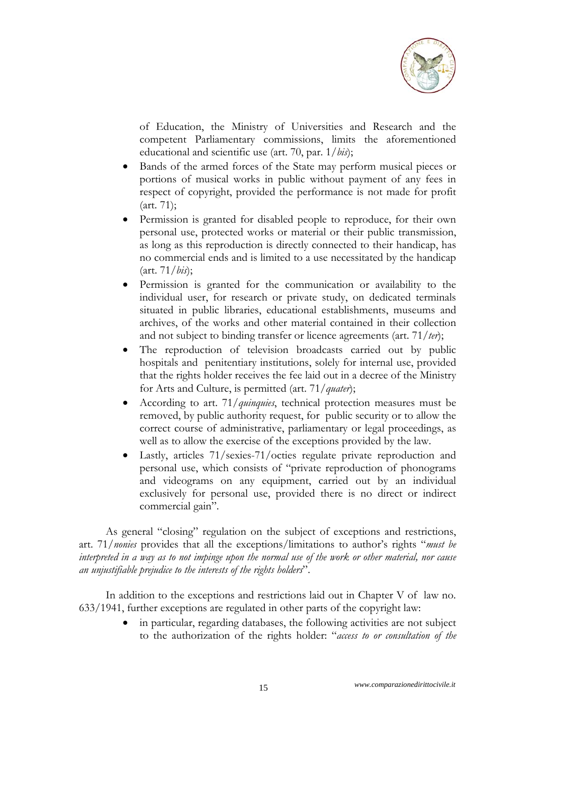

of Education, the Ministry of Universities and Research and the competent Parliamentary commissions, limits the aforementioned educational and scientific use (art. 70, par. 1/*bis*);

- Bands of the armed forces of the State may perform musical pieces or portions of musical works in public without payment of any fees in respect of copyright, provided the performance is not made for profit (art. 71);
- Permission is granted for disabled people to reproduce, for their own personal use, protected works or material or their public transmission, as long as this reproduction is directly connected to their handicap, has no commercial ends and is limited to a use necessitated by the handicap (art. 71/*bis*);
- Permission is granted for the communication or availability to the individual user, for research or private study, on dedicated terminals situated in public libraries, educational establishments, museums and archives, of the works and other material contained in their collection and not subject to binding transfer or licence agreements (art. 71/*ter*);
- The reproduction of television broadcasts carried out by public hospitals and penitentiary institutions, solely for internal use, provided that the rights holder receives the fee laid out in a decree of the Ministry for Arts and Culture, is permitted (art. 71/*quater*);
- According to art. 71/*quinquies*, technical protection measures must be removed, by public authority request, for public security or to allow the correct course of administrative, parliamentary or legal proceedings, as well as to allow the exercise of the exceptions provided by the law.
- Lastly, articles 71/sexies-71/octies regulate private reproduction and personal use, which consists of "private reproduction of phonograms and videograms on any equipment, carried out by an individual exclusively for personal use, provided there is no direct or indirect commercial gain".

As general "closing" regulation on the subject of exceptions and restrictions, art. 71/*nonies* provides that all the exceptions/limitations to author's rights "*must be interpreted in a way as to not impinge upon the normal use of the work or other material, nor cause an unjustifiable prejudice to the interests of the rights holders*".

In addition to the exceptions and restrictions laid out in Chapter V of law no. 633/1941, further exceptions are regulated in other parts of the copyright law:

> in particular, regarding databases, the following activities are not subject to the authorization of the rights holder: "*access to or consultation of the*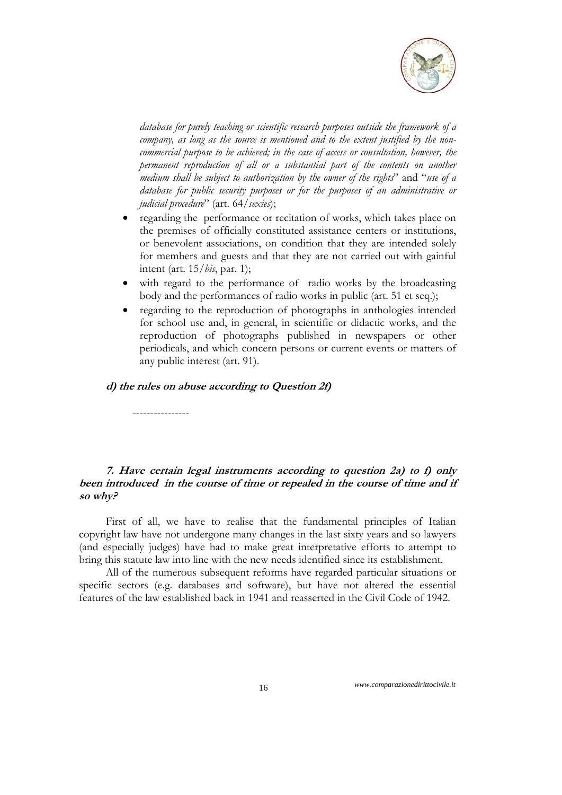

*database for purely teaching or scientific research purposes outside the framework of a company, as long as the source is mentioned and to the extent justified by the noncommercial purpose to be achieved; in the case of access or consultation, however, the permanent reproduction of all or a substantial part of the contents on another medium shall be subject to authorization by the owner of the rights*" and "*use of a database for public security purposes or for the purposes of an administrative or judicial procedure*" (art. 64/*sexies*);

- regarding the performance or recitation of works, which takes place on the premises of officially constituted assistance centers or institutions, or benevolent associations, on condition that they are intended solely for members and guests and that they are not carried out with gainful intent (art. 15/*bis*, par. 1);
- with regard to the performance of radio works by the broadcasting body and the performances of radio works in public (art. 51 et seq.);
- regarding to the reproduction of photographs in anthologies intended for school use and, in general, in scientific or didactic works, and the reproduction of photographs published in newspapers or other periodicals, and which concern persons or current events or matters of any public interest (art. 91).

### **d) the rules on abuse according to Question 2f)**

----------------

# **7. Have certain legal instruments according to question 2a) to f) only been introduced in the course of time or repealed in the course of time and if so why?**

First of all, we have to realise that the fundamental principles of Italian copyright law have not undergone many changes in the last sixty years and so lawyers (and especially judges) have had to make great interpretative efforts to attempt to bring this statute law into line with the new needs identified since its establishment.

All of the numerous subsequent reforms have regarded particular situations or specific sectors (e.g. databases and software), but have not altered the essential features of the law established back in 1941 and reasserted in the Civil Code of 1942.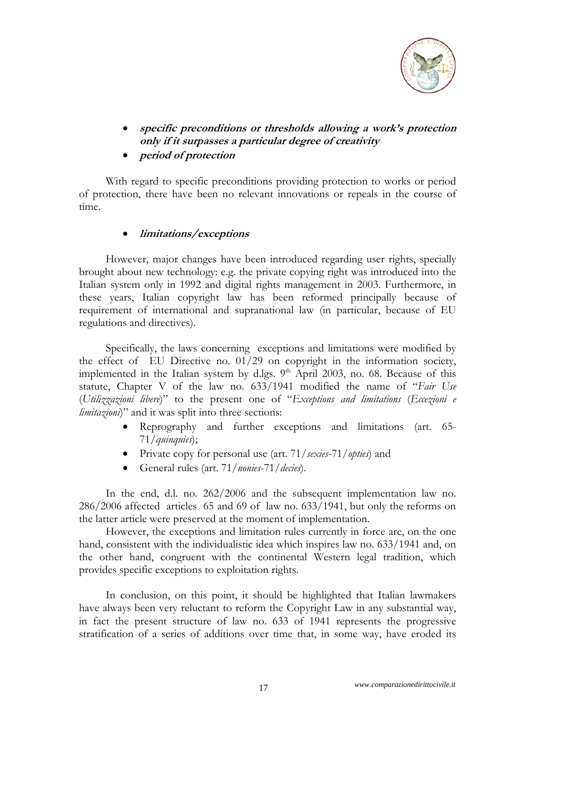

- **specific preconditions or thresholds allowing a work's protection only if it surpasses a particular degree of creativity**
- **period of protection**

With regard to specific preconditions providing protection to works or period of protection, there have been no relevant innovations or repeals in the course of time.

### **limitations/exceptions**

However, major changes have been introduced regarding user rights, specially brought about new technology: e.g. the private copying right was introduced into the Italian system only in 1992 and digital rights management in 2003. Furthermore, in these years, Italian copyright law has been reformed principally because of requirement of international and supranational law (in particular, because of EU regulations and directives).

Specifically, the laws concerning exceptions and limitations were modified by the effect of EU Directive no.  $01/29$  on copyright in the information society, implemented in the Italian system by d.lgs.  $9<sup>th</sup>$  April 2003, no. 68. Because of this statute, Chapter V of the law no. 633/1941 modified the name of "*Fair Use* (*Utilizzazioni libere*)" to the present one of "*Exceptions and limitations* (*Eccezioni e limitazioni*)" and it was split into three sections:

- Reprography and further exceptions and limitations (art. 65- 71/*quinquies*);
- Private copy for personal use (art. 71/*sexies*-71/*opties*) and
- General rules (art. 71/*nonies*-71/*decies*).

In the end, d.l. no. 262/2006 and the subsequent implementation law no. 286/2006 affected articles 65 and 69 of law no. 633/1941, but only the reforms on the latter article were preserved at the moment of implementation.

However, the exceptions and limitation rules currently in force are, on the one hand, consistent with the individualistic idea which inspires law no. 633/1941 and, on the other hand, congruent with the continental Western legal tradition, which provides specific exceptions to exploitation rights.

In conclusion, on this point, it should be highlighted that Italian lawmakers have always been very reluctant to reform the Copyright Law in any substantial way, in fact the present structure of law no. 633 of 1941 represents the progressive stratification of a series of additions over time that, in some way, have eroded its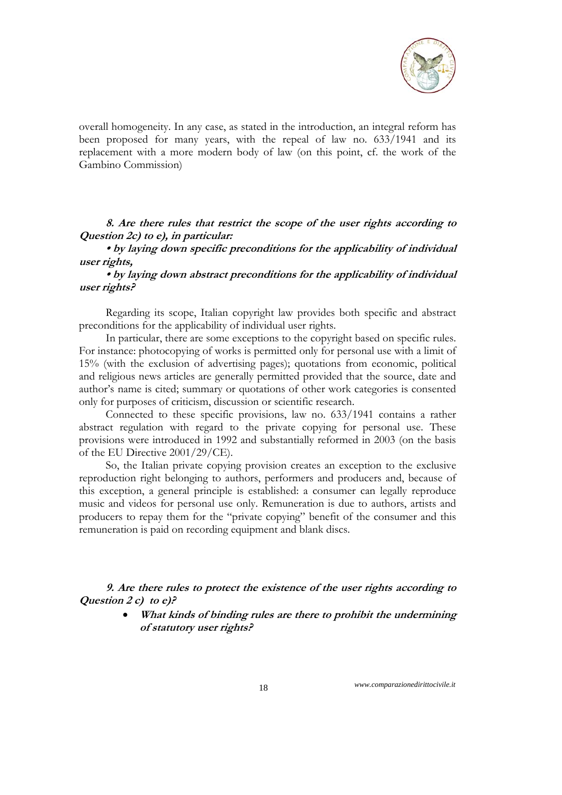

overall homogeneity. In any case, as stated in the introduction, an integral reform has been proposed for many years, with the repeal of law no. 633/1941 and its replacement with a more modern body of law (on this point, cf. the work of the Gambino Commission)

**8. Are there rules that restrict the scope of the user rights according to Question 2c) to e), in particular:** 

**• by laying down specific preconditions for the applicability of individual user rights,** 

**• by laying down abstract preconditions for the applicability of individual user rights?** 

Regarding its scope, Italian copyright law provides both specific and abstract preconditions for the applicability of individual user rights.

In particular, there are some exceptions to the copyright based on specific rules. For instance: photocopying of works is permitted only for personal use with a limit of 15% (with the exclusion of advertising pages); quotations from economic, political and religious news articles are generally permitted provided that the source, date and author's name is cited; summary or quotations of other work categories is consented only for purposes of criticism, discussion or scientific research.

Connected to these specific provisions, law no. 633/1941 contains a rather abstract regulation with regard to the private copying for personal use. These provisions were introduced in 1992 and substantially reformed in 2003 (on the basis of the EU Directive 2001/29/CE).

So, the Italian private copying provision creates an exception to the exclusive reproduction right belonging to authors, performers and producers and, because of this exception, a general principle is established: a consumer can legally reproduce music and videos for personal use only. Remuneration is due to authors, artists and producers to repay them for the "private copying" benefit of the consumer and this remuneration is paid on recording equipment and blank discs.

**9. Are there rules to protect the existence of the user rights according to Question 2 c) to e)?** 

> **What kinds of binding rules are there to prohibit the undermining of statutory user rights?**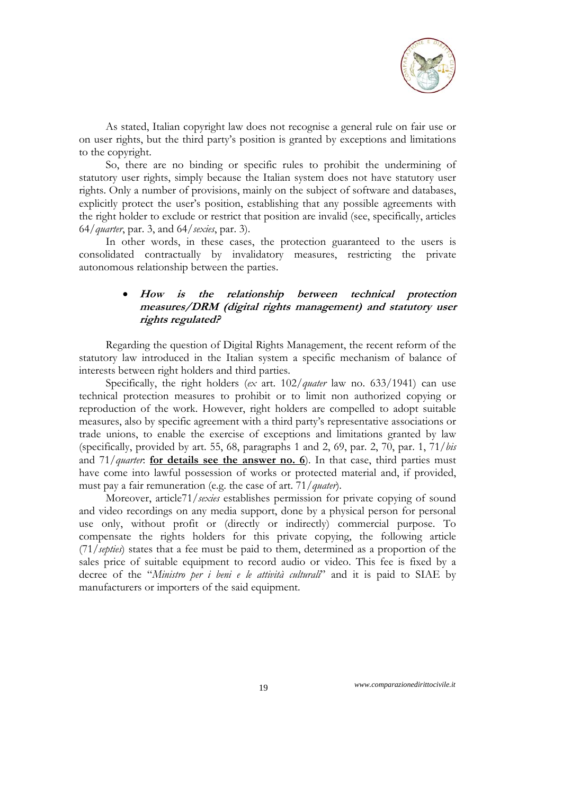

As stated, Italian copyright law does not recognise a general rule on fair use or on user rights, but the third party's position is granted by exceptions and limitations to the copyright.

So, there are no binding or specific rules to prohibit the undermining of statutory user rights, simply because the Italian system does not have statutory user rights. Only a number of provisions, mainly on the subject of software and databases, explicitly protect the user's position, establishing that any possible agreements with the right holder to exclude or restrict that position are invalid (see, specifically, articles 64/*quarter*, par. 3, and 64/*sexies*, par. 3).

In other words, in these cases, the protection guaranteed to the users is consolidated contractually by invalidatory measures, restricting the private autonomous relationship between the parties.

# **How is the relationship between technical protection measures/DRM (digital rights management) and statutory user rights regulated?**

Regarding the question of Digital Rights Management, the recent reform of the statutory law introduced in the Italian system a specific mechanism of balance of interests between right holders and third parties.

Specifically, the right holders (*ex* art. 102/*quater* law no. 633/1941) can use technical protection measures to prohibit or to limit non authorized copying or reproduction of the work. However, right holders are compelled to adopt suitable measures, also by specific agreement with a third party's representative associations or trade unions, to enable the exercise of exceptions and limitations granted by law (specifically, provided by art. 55, 68, paragraphs 1 and 2, 69, par. 2, 70, par. 1, 71/*bis* and 71/*quarter*: **for details see the answer no. 6**). In that case, third parties must have come into lawful possession of works or protected material and, if provided, must pay a fair remuneration (e.g. the case of art. 71/*quater*).

Moreover, article71/*sexies* establishes permission for private copying of sound and video recordings on any media support, done by a physical person for personal use only, without profit or (directly or indirectly) commercial purpose. To compensate the rights holders for this private copying, the following article (71/*septies*) states that a fee must be paid to them, determined as a proportion of the sales price of suitable equipment to record audio or video. This fee is fixed by a decree of the "*Ministro per i beni e le attività culturali*" and it is paid to SIAE by manufacturers or importers of the said equipment.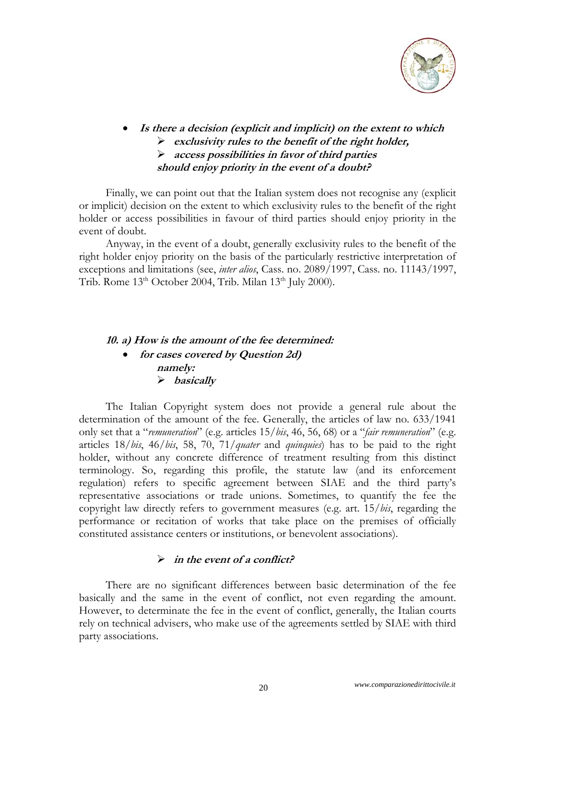

- **Is there a decision (explicit and implicit) on the extent to which** 
	- **exclusivity rules to the benefit of the right holder,**
	- **access possibilities in favor of third parties**
	- **should enjoy priority in the event of a doubt?**

Finally, we can point out that the Italian system does not recognise any (explicit or implicit) decision on the extent to which exclusivity rules to the benefit of the right holder or access possibilities in favour of third parties should enjoy priority in the event of doubt.

Anyway, in the event of a doubt, generally exclusivity rules to the benefit of the right holder enjoy priority on the basis of the particularly restrictive interpretation of exceptions and limitations (see, *inter alios*, Cass. no. 2089/1997, Cass. no. 11143/1997, Trib. Rome  $13<sup>th</sup>$  October 2004, Trib. Milan  $13<sup>th</sup>$  July 2000).

# **10. a) How is the amount of the fee determined: for cases covered by Question 2d) namely: basically**

The Italian Copyright system does not provide a general rule about the determination of the amount of the fee. Generally, the articles of law no. 633/1941 only set that a "*remuneration*" (e.g. articles 15/*bis*, 46, 56, 68) or a "*fair remuneration*" (e.g. articles 18/*bis*, 46/*bis*, 58, 70, 71/*quater* and *quinquies*) has to be paid to the right holder, without any concrete difference of treatment resulting from this distinct terminology. So, regarding this profile, the statute law (and its enforcement regulation) refers to specific agreement between SIAE and the third party's representative associations or trade unions. Sometimes, to quantify the fee the copyright law directly refers to government measures (e.g. art. 15/*bis*, regarding the performance or recitation of works that take place on the premises of officially constituted assistance centers or institutions, or benevolent associations).

# **in the event of a conflict?**

There are no significant differences between basic determination of the fee basically and the same in the event of conflict, not even regarding the amount. However, to determinate the fee in the event of conflict, generally, the Italian courts rely on technical advisers, who make use of the agreements settled by SIAE with third party associations.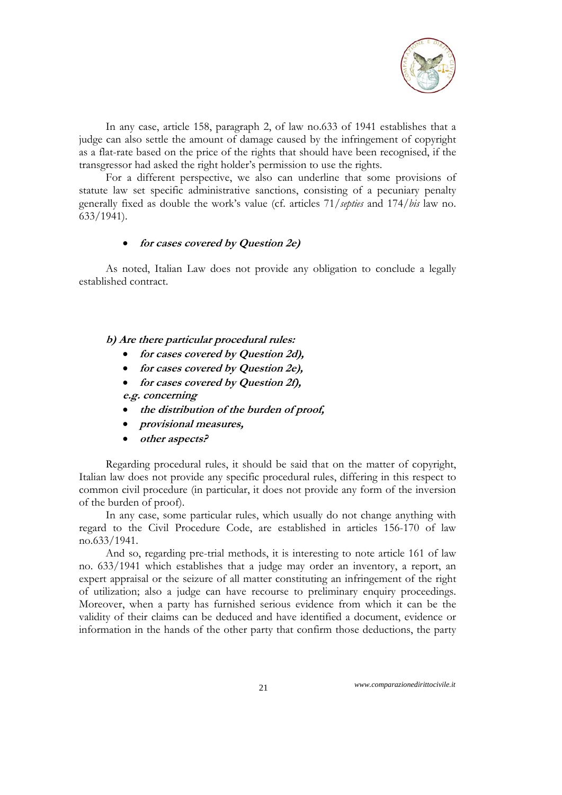

In any case, article 158, paragraph 2, of law no.633 of 1941 establishes that a judge can also settle the amount of damage caused by the infringement of copyright as a flat-rate based on the price of the rights that should have been recognised, if the transgressor had asked the right holder's permission to use the rights.

For a different perspective, we also can underline that some provisions of statute law set specific administrative sanctions, consisting of a pecuniary penalty generally fixed as double the work's value (cf. articles 71/*septies* and 174/*bis* law no. 633/1941).

# **for cases covered by Question 2e)**

As noted, Italian Law does not provide any obligation to conclude a legally established contract.

**b) Are there particular procedural rules:** 

- **for cases covered by Question 2d),**
- **for cases covered by Question 2e),**
- **for cases covered by Question 2f), e.g. concerning**
- **the distribution of the burden of proof,**
- **provisional measures,**
- **other aspects?**

Regarding procedural rules, it should be said that on the matter of copyright, Italian law does not provide any specific procedural rules, differing in this respect to common civil procedure (in particular, it does not provide any form of the inversion of the burden of proof).

In any case, some particular rules, which usually do not change anything with regard to the Civil Procedure Code, are established in articles 156-170 of law no.633/1941.

And so, regarding pre-trial methods, it is interesting to note article 161 of law no. 633/1941 which establishes that a judge may order an inventory, a report, an expert appraisal or the seizure of all matter constituting an infringement of the right of utilization; also a judge can have recourse to preliminary enquiry proceedings. Moreover, when a party has furnished serious evidence from which it can be the validity of their claims can be deduced and have identified a document, evidence or information in the hands of the other party that confirm those deductions, the party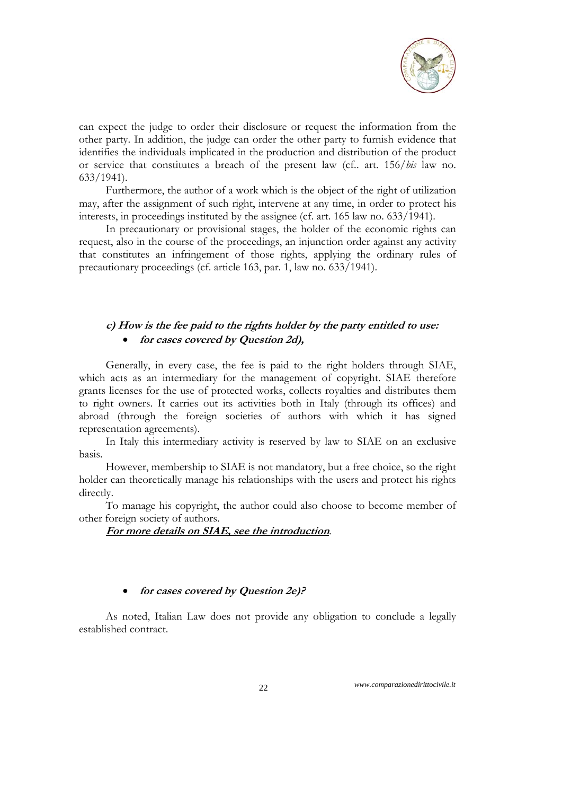

can expect the judge to order their disclosure or request the information from the other party. In addition, the judge can order the other party to furnish evidence that identifies the individuals implicated in the production and distribution of the product or service that constitutes a breach of the present law (cf.. art. 156/*bis* law no. 633/1941).

Furthermore, the author of a work which is the object of the right of utilization may, after the assignment of such right, intervene at any time, in order to protect his interests, in proceedings instituted by the assignee (cf. art. 165 law no. 633/1941).

In precautionary or provisional stages, the holder of the economic rights can request, also in the course of the proceedings, an injunction order against any activity that constitutes an infringement of those rights, applying the ordinary rules of precautionary proceedings (cf. article 163, par. 1, law no. 633/1941).

# **c) How is the fee paid to the rights holder by the party entitled to use: for cases covered by Question 2d),**

Generally, in every case, the fee is paid to the right holders through SIAE, which acts as an intermediary for the management of copyright. SIAE therefore grants licenses for the use of protected works, collects royalties and distributes them to right owners. It carries out its activities both in Italy (through its offices) and abroad (through the foreign societies of authors with which it has signed representation agreements).

In Italy this intermediary activity is reserved by law to SIAE on an exclusive basis.

However, membership to SIAE is not mandatory, but a free choice, so the right holder can theoretically manage his relationships with the users and protect his rights directly.

To manage his copyright, the author could also choose to become member of other foreign society of authors.

### **For more details on SIAE, see the introduction**.

#### **for cases covered by Question 2e)?**

As noted, Italian Law does not provide any obligation to conclude a legally established contract.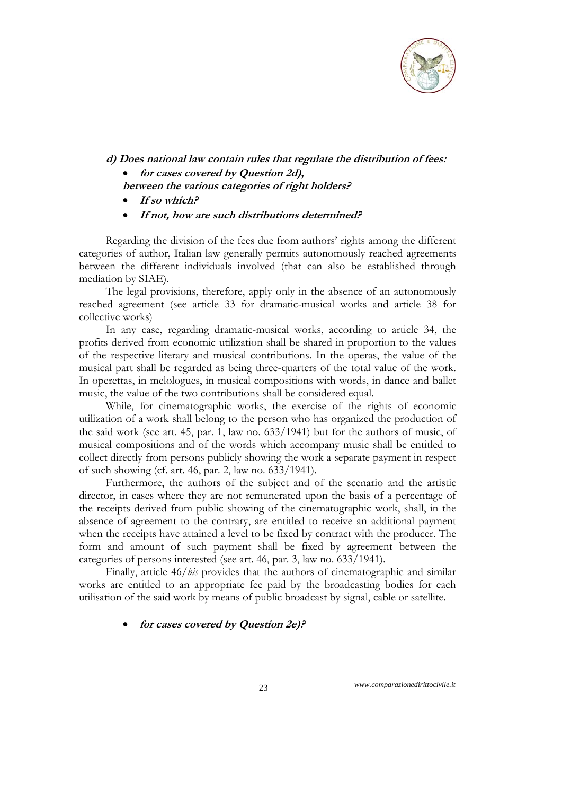

**d) Does national law contain rules that regulate the distribution of fees:** 

**for cases covered by Question 2d),** 

**between the various categories of right holders?** 

- **If so which?**
- **If not, how are such distributions determined?**

Regarding the division of the fees due from authors' rights among the different categories of author, Italian law generally permits autonomously reached agreements between the different individuals involved (that can also be established through mediation by SIAE).

The legal provisions, therefore, apply only in the absence of an autonomously reached agreement (see article 33 for dramatic-musical works and article 38 for collective works)

In any case, regarding dramatic-musical works, according to article 34, the profits derived from economic utilization shall be shared in proportion to the values of the respective literary and musical contributions. In the operas, the value of the musical part shall be regarded as being three-quarters of the total value of the work. In operettas, in melologues, in musical compositions with words, in dance and ballet music, the value of the two contributions shall be considered equal.

While, for cinematographic works, the exercise of the rights of economic utilization of a work shall belong to the person who has organized the production of the said work (see art. 45, par. 1, law no. 633/1941) but for the authors of music, of musical compositions and of the words which accompany music shall be entitled to collect directly from persons publicly showing the work a separate payment in respect of such showing (cf. art. 46, par. 2, law no. 633/1941).

Furthermore, the authors of the subject and of the scenario and the artistic director, in cases where they are not remunerated upon the basis of a percentage of the receipts derived from public showing of the cinematographic work, shall, in the absence of agreement to the contrary, are entitled to receive an additional payment when the receipts have attained a level to be fixed by contract with the producer. The form and amount of such payment shall be fixed by agreement between the categories of persons interested (see art. 46, par. 3, law no. 633/1941).

Finally, article 46/*bis* provides that the authors of cinematographic and similar works are entitled to an appropriate fee paid by the broadcasting bodies for each utilisation of the said work by means of public broadcast by signal, cable or satellite.

# **for cases covered by Question 2e)?**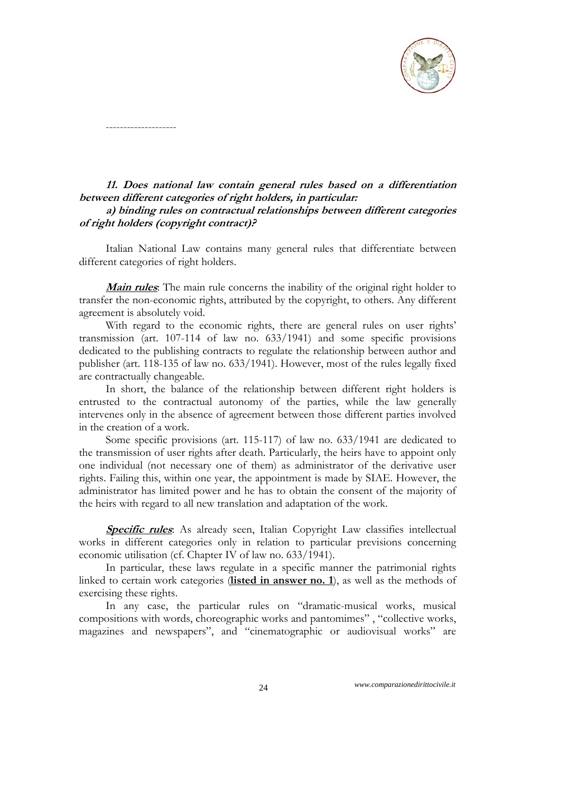

# **11. Does national law contain general rules based on a differentiation between different categories of right holders, in particular:**

--------------------

# **a) binding rules on contractual relationships between different categories of right holders (copyright contract)?**

Italian National Law contains many general rules that differentiate between different categories of right holders.

**Main rules**: The main rule concerns the inability of the original right holder to transfer the non-economic rights, attributed by the copyright, to others. Any different agreement is absolutely void.

With regard to the economic rights, there are general rules on user rights' transmission (art. 107-114 of law no. 633/1941) and some specific provisions dedicated to the publishing contracts to regulate the relationship between author and publisher (art. 118-135 of law no. 633/1941). However, most of the rules legally fixed are contractually changeable.

In short, the balance of the relationship between different right holders is entrusted to the contractual autonomy of the parties, while the law generally intervenes only in the absence of agreement between those different parties involved in the creation of a work.

Some specific provisions (art. 115-117) of law no. 633/1941 are dedicated to the transmission of user rights after death. Particularly, the heirs have to appoint only one individual (not necessary one of them) as administrator of the derivative user rights. Failing this, within one year, the appointment is made by SIAE. However, the administrator has limited power and he has to obtain the consent of the majority of the heirs with regard to all new translation and adaptation of the work.

**Specific rules**: As already seen, Italian Copyright Law classifies intellectual works in different categories only in relation to particular previsions concerning economic utilisation (cf. Chapter IV of law no. 633/1941).

In particular, these laws regulate in a specific manner the patrimonial rights linked to certain work categories (**listed in answer no. 1**), as well as the methods of exercising these rights.

In any case, the particular rules on "dramatic-musical works, musical compositions with words, choreographic works and pantomimes" , "collective works, magazines and newspapers", and "cinematographic or audiovisual works" are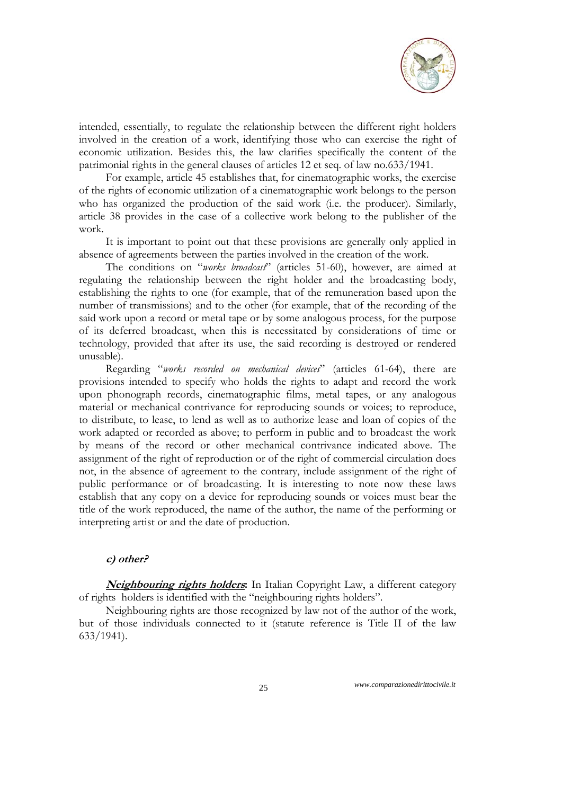

intended, essentially, to regulate the relationship between the different right holders involved in the creation of a work, identifying those who can exercise the right of economic utilization. Besides this, the law clarifies specifically the content of the patrimonial rights in the general clauses of articles 12 et seq. of law no.633/1941.

For example, article 45 establishes that, for cinematographic works, the exercise of the rights of economic utilization of a cinematographic work belongs to the person who has organized the production of the said work (i.e. the producer). Similarly, article 38 provides in the case of a collective work belong to the publisher of the work.

It is important to point out that these provisions are generally only applied in absence of agreements between the parties involved in the creation of the work.

The conditions on "*works broadcast*" (articles 51-60), however, are aimed at regulating the relationship between the right holder and the broadcasting body, establishing the rights to one (for example, that of the remuneration based upon the number of transmissions) and to the other (for example, that of the recording of the said work upon a record or metal tape or by some analogous process, for the purpose of its deferred broadcast, when this is necessitated by considerations of time or technology, provided that after its use, the said recording is destroyed or rendered unusable).

Regarding "*works recorded on mechanical devices*" (articles 61-64), there are provisions intended to specify who holds the rights to adapt and record the work upon phonograph records, cinematographic films, metal tapes, or any analogous material or mechanical contrivance for reproducing sounds or voices; to reproduce, to distribute, to lease, to lend as well as to authorize lease and loan of copies of the work adapted or recorded as above; to perform in public and to broadcast the work by means of the record or other mechanical contrivance indicated above. The assignment of the right of reproduction or of the right of commercial circulation does not, in the absence of agreement to the contrary, include assignment of the right of public performance or of broadcasting. It is interesting to note now these laws establish that any copy on a device for reproducing sounds or voices must bear the title of the work reproduced, the name of the author, the name of the performing or interpreting artist or and the date of production.

### **c) other?**

**Neighbouring rights holders:** In Italian Copyright Law, a different category of rights holders is identified with the "neighbouring rights holders".

Neighbouring rights are those recognized by law not of the author of the work, but of those individuals connected to it (statute reference is Title II of the law 633/1941).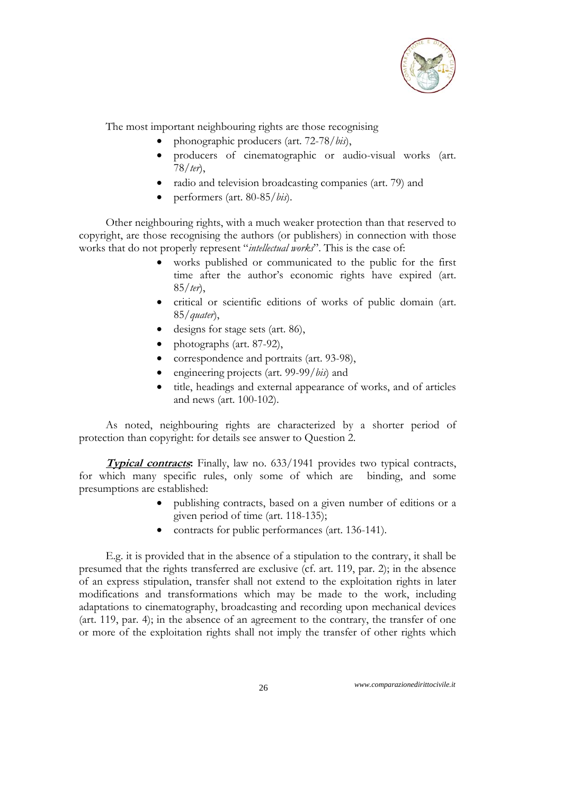

The most important neighbouring rights are those recognising

- phonographic producers (art. 72-78/*bis*),
- producers of cinematographic or audio-visual works (art. 78/*ter*),
- radio and television broadcasting companies (art. 79) and
- performers (art. 80-85/*bis*).

Other neighbouring rights, with a much weaker protection than that reserved to copyright, are those recognising the authors (or publishers) in connection with those works that do not properly represent "*intellectual works*". This is the case of:

- works published or communicated to the public for the first time after the author's economic rights have expired (art. 85/*ter*),
- critical or scientific editions of works of public domain (art. 85/*quater*),
- designs for stage sets (art. 86),
- $\bullet$  photographs (art. 87-92),
- correspondence and portraits (art. 93-98),
- engineering projects (art. 99-99/*bis*) and
- title, headings and external appearance of works, and of articles and news (art. 100-102).

As noted, neighbouring rights are characterized by a shorter period of protection than copyright: for details see answer to Question 2.

**Typical contracts:** Finally, law no. 633/1941 provides two typical contracts, for which many specific rules, only some of which are binding, and some presumptions are established:

- publishing contracts, based on a given number of editions or a given period of time (art. 118-135);
- contracts for public performances (art. 136-141).

E.g. it is provided that in the absence of a stipulation to the contrary, it shall be presumed that the rights transferred are exclusive (cf. art. 119, par. 2); in the absence of an express stipulation, transfer shall not extend to the exploitation rights in later modifications and transformations which may be made to the work, including adaptations to cinematography, broadcasting and recording upon mechanical devices (art. 119, par. 4); in the absence of an agreement to the contrary, the transfer of one or more of the exploitation rights shall not imply the transfer of other rights which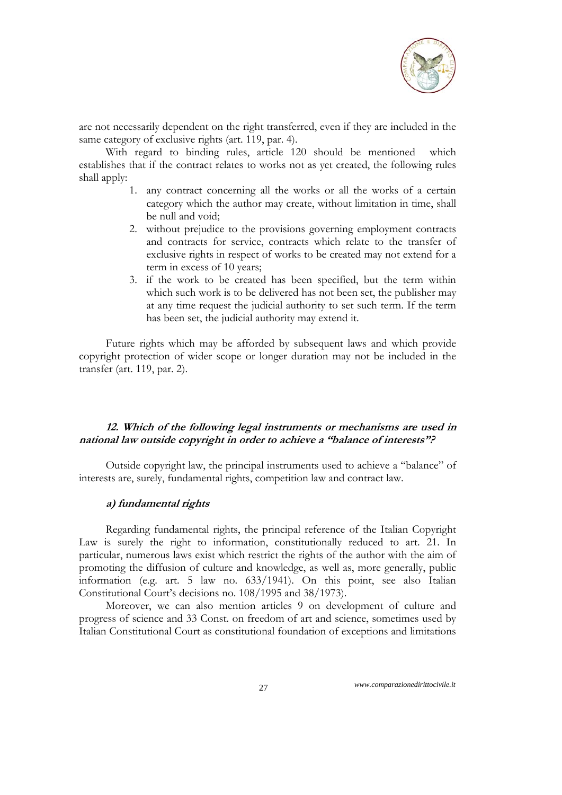

are not necessarily dependent on the right transferred, even if they are included in the same category of exclusive rights (art. 119, par. 4).

With regard to binding rules, article 120 should be mentioned which establishes that if the contract relates to works not as yet created, the following rules shall apply:

- 1. any contract concerning all the works or all the works of a certain category which the author may create, without limitation in time, shall be null and void;
- 2. without prejudice to the provisions governing employment contracts and contracts for service, contracts which relate to the transfer of exclusive rights in respect of works to be created may not extend for a term in excess of 10 years;
- 3. if the work to be created has been specified, but the term within which such work is to be delivered has not been set, the publisher may at any time request the judicial authority to set such term. If the term has been set, the judicial authority may extend it.

Future rights which may be afforded by subsequent laws and which provide copyright protection of wider scope or longer duration may not be included in the transfer (art. 119, par. 2).

### **12. Which of the following legal instruments or mechanisms are used in national law outside copyright in order to achieve a "balance of interests"?**

Outside copyright law, the principal instruments used to achieve a "balance" of interests are, surely, fundamental rights, competition law and contract law.

# **a) fundamental rights**

Regarding fundamental rights, the principal reference of the Italian Copyright Law is surely the right to information, constitutionally reduced to art. 21. In particular, numerous laws exist which restrict the rights of the author with the aim of promoting the diffusion of culture and knowledge, as well as, more generally, public information (e.g. art. 5 law no. 633/1941). On this point, see also Italian Constitutional Court's decisions no. 108/1995 and 38/1973).

Moreover, we can also mention articles 9 on development of culture and progress of science and 33 Const. on freedom of art and science, sometimes used by Italian Constitutional Court as constitutional foundation of exceptions and limitations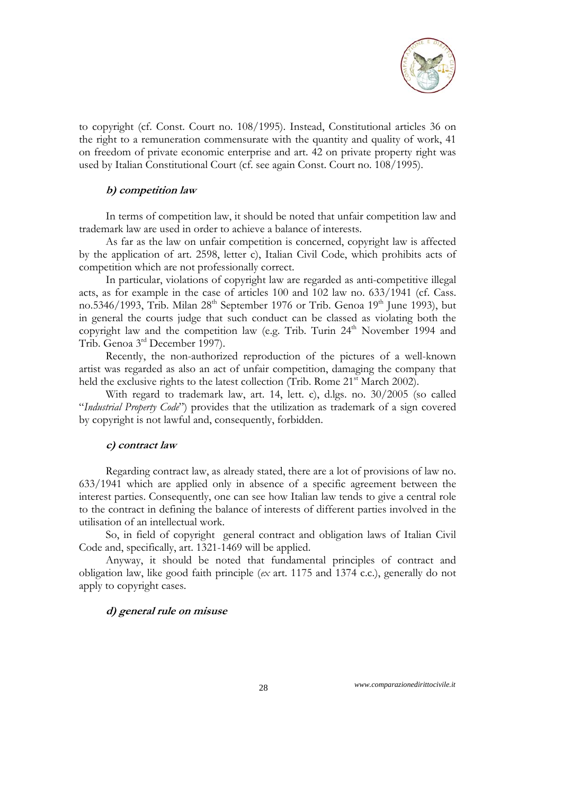

to copyright (cf. Const. Court no. 108/1995). Instead, Constitutional articles 36 on the right to a remuneration commensurate with the quantity and quality of work, 41 on freedom of private economic enterprise and art. 42 on private property right was used by Italian Constitutional Court (cf. see again Const. Court no. 108/1995).

### **b) competition law**

In terms of competition law, it should be noted that unfair competition law and trademark law are used in order to achieve a balance of interests.

As far as the law on unfair competition is concerned, copyright law is affected by the application of art. 2598, letter c), Italian Civil Code, which prohibits acts of competition which are not professionally correct.

In particular, violations of copyright law are regarded as anti-competitive illegal acts, as for example in the case of articles 100 and 102 law no. 633/1941 (cf. Cass. no.5346/1993, Trib. Milan  $28<sup>th</sup>$  September 1976 or Trib. Genoa 19<sup>th</sup> June 1993), but in general the courts judge that such conduct can be classed as violating both the copyright law and the competition law (e.g. Trib. Turin 24<sup>th</sup> November 1994 and Trib. Genoa 3rd December 1997).

Recently, the non-authorized reproduction of the pictures of a well-known artist was regarded as also an act of unfair competition, damaging the company that held the exclusive rights to the latest collection (Trib. Rome 21<sup>st</sup> March 2002).

With regard to trademark law, art. 14, lett. c), d.lgs. no. 30/2005 (so called "*Industrial Property Code*") provides that the utilization as trademark of a sign covered by copyright is not lawful and, consequently, forbidden.

#### **c) contract law**

Regarding contract law, as already stated, there are a lot of provisions of law no. 633/1941 which are applied only in absence of a specific agreement between the interest parties. Consequently, one can see how Italian law tends to give a central role to the contract in defining the balance of interests of different parties involved in the utilisation of an intellectual work.

So, in field of copyright general contract and obligation laws of Italian Civil Code and, specifically, art. 1321-1469 will be applied.

Anyway, it should be noted that fundamental principles of contract and obligation law, like good faith principle (*ex* art. 1175 and 1374 c.c.), generally do not apply to copyright cases.

#### **d) general rule on misuse**